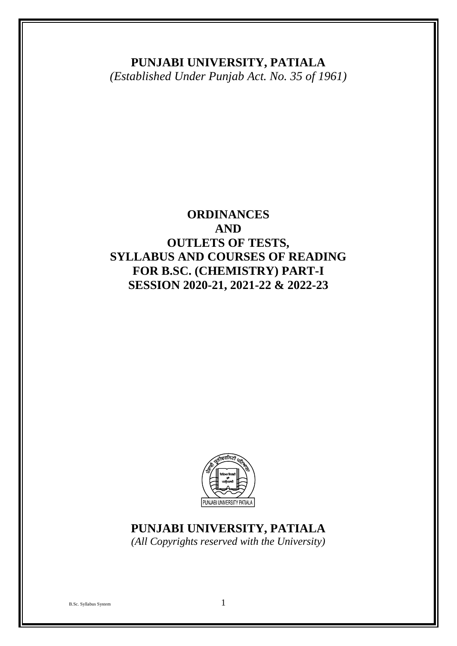# **PUNJABI UNIVERSITY, PATIALA**

*(Established Under Punjab Act. No. 35 of 1961)*

# **ORDINANCES AND OUTLETS OF TESTS, SYLLABUS AND COURSES OF READING FOR B.SC. (CHEMISTRY) PART-I SESSION 2020-21, 2021-22 & 2022-23**



# **PUNJABI UNIVERSITY, PATIALA**

*(All Copyrights reserved with the University)*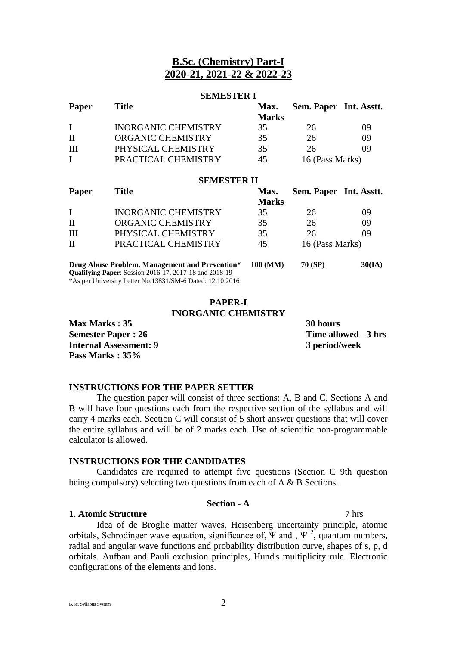## **B.Sc. (Chemistry) Part-I 2020-21, 2021-22 & 2022-23**

## **SEMESTER I**

| Paper | Title                      | Max.         | Sem. Paper Int. Asstt. |    |
|-------|----------------------------|--------------|------------------------|----|
|       |                            | <b>Marks</b> |                        |    |
|       | <b>INORGANIC CHEMISTRY</b> | 35           | 26                     | 09 |
| П     | ORGANIC CHEMISTRY          | 35           | 26                     | ΩO |
| -III  | PHYSICAL CHEMISTRY         | 35           | 26                     | ng |
|       | PRACTICAL CHEMISTRY        | 45           | 16 (Pass Marks)        |    |

**SEMESTER II**

| SEMIES I EK II |                                                |                      |                        |        |  |  |
|----------------|------------------------------------------------|----------------------|------------------------|--------|--|--|
| <b>Paper</b>   | <b>Title</b>                                   | Max.<br><b>Marks</b> | Sem. Paper Int. Asstt. |        |  |  |
|                | <b>INORGANIC CHEMISTRY</b>                     | 35                   | 26                     | 09     |  |  |
| H              | ORGANIC CHEMISTRY                              | 35                   | 26                     | 09     |  |  |
| - III          | PHYSICAL CHEMISTRY                             | 35                   | 26                     | 09     |  |  |
| H              | PRACTICAL CHEMISTRY                            | 45                   | 16 (Pass Marks)        |        |  |  |
|                | Drug Abuse Problem, Management and Prevention* | 100 (MM)             | <b>70 (SP)</b>         | 30(IA) |  |  |

**Qualifying Paper**: Session 2016-17, 2017-18 and 2018-19 \*As per University Letter No.13831/SM-6 Dated: 12.10.2016

## **PAPER-I INORGANIC CHEMISTRY**

**Max Marks : 35** 30 hours **Semester Paper : 26** Time allowed - 3 hrs **Internal Assessment: 9 3 period/week Pass Marks : 35%** 

## **INSTRUCTIONS FOR THE PAPER SETTER**

The question paper will consist of three sections: A, B and C. Sections A and B will have four questions each from the respective section of the syllabus and will carry 4 marks each. Section C will consist of 5 short answer questions that will cover the entire syllabus and will be of 2 marks each. Use of scientific non-programmable calculator is allowed.

## **INSTRUCTIONS FOR THE CANDIDATES**

Candidates are required to attempt five questions (Section C 9th question being compulsory) selecting two questions from each of A & B Sections.

## **Section - A**

## **1. Atomic Structure** 7 hrs

Idea of de Broglie matter waves, Heisenberg uncertainty principle, atomic orbitals, Schrodinger wave equation, significance of,  $\Psi$  and,  $\Psi^2$ , quantum numbers, radial and angular wave functions and probability distribution curve, shapes of s, p, d orbitals. Aufbau and Pauli exclusion principles, Hund's multiplicity rule. Electronic configurations of the elements and ions.

B.Sc. Syllabus System 2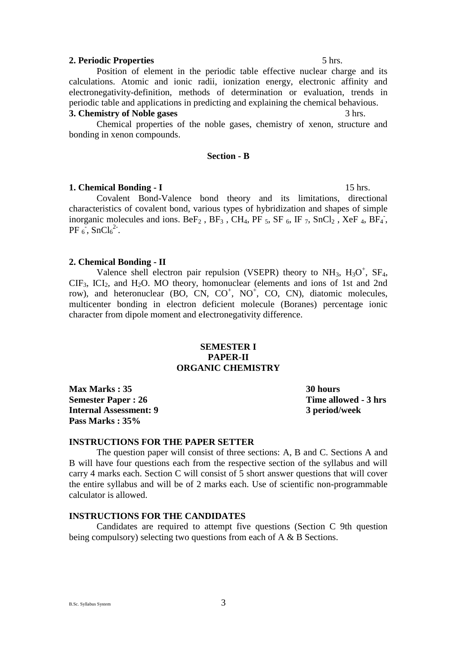## **2. Periodic Properties** 5 hrs.

Position of element in the periodic table effective nuclear charge and its calculations. Atomic and ionic radii, ionization energy, electronic affinity and electronegativity-definition, methods of determination or evaluation, trends in periodic table and applications in predicting and explaining the chemical behavious.

## **3. Chemistry of Noble gases** 3 hrs.

Chemical properties of the noble gases, chemistry of xenon, structure and bonding in xenon compounds.

## **Section - B**

### **1. Chemical Bonding - I** 15 hrs.

Covalent Bond-Valence bond theory and its limitations, directional characteristics of covalent bond, various types of hybridization and shapes of simple inorganic molecules and ions. Be $F_2$ , B $F_3$ , CH<sub>4</sub>, PF<sub>5</sub>, SF<sub>6</sub>, IF<sub>7</sub>, SnCl<sub>2</sub>, XeF<sub>4</sub>, BF<sub>4</sub><sup>-</sup>,  $PF_6$ , SnCl<sub>6</sub><sup>2</sup>.

## **2. Chemical Bonding - II**

Valence shell electron pair repulsion (VSEPR) theory to  $NH_3$ ,  $H_3O^+$ , SF<sub>4</sub>,  $CIF_3$ ,  $ICI_2$ , and  $H_2O$ . MO theory, homonuclear (elements and ions of 1st and 2nd row), and heteronuclear (BO, CN, CO<sup>+</sup>, NO<sup>+</sup>, CO, CN), diatomic molecules, multicenter bonding in electron deficient molecule (Boranes) percentage ionic character from dipole moment and eIectronegativity difference.

## **SEMESTER I PAPER-II ORGANIC CHEMISTRY**

**Max Marks : 35** 30 hours **Semester Paper : 26** Time allowed - 3 hrs **Internal Assessment: 9 3 period/week Pass Marks : 35%** 

## **INSTRUCTIONS FOR THE PAPER SETTER**

The question paper will consist of three sections: A, B and C. Sections A and B will have four questions each from the respective section of the syllabus and will carry 4 marks each. Section C will consist of 5 short answer questions that will cover the entire syllabus and will be of 2 marks each. Use of scientific non-programmable calculator is allowed.

## **INSTRUCTIONS FOR THE CANDIDATES**

Candidates are required to attempt five questions (Section C 9th question being compulsory) selecting two questions from each of A & B Sections.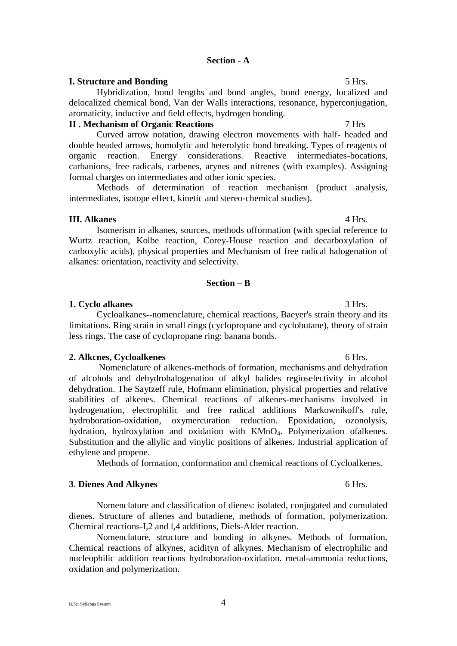## **I. Structure and Bonding 5 Hrs.** 5 Hrs.

Hybridization, bond lengths and bond angles, bond energy, localized and delocalized chemical bond, Van der Walls interactions, resonance, hyperconjugation, aromaticity, inductive and field effects, hydrogen bonding.

## **II . Mechanism of Organic Reactions** 7 Hrs

Curved arrow notation, drawing electron movements with half- headed and double headed arrows, homolytic and heterolytic bond breaking. Types of reagents of organic reaction. Energy considerations. Reactive intermediates-bocations, carbanions, free radicals, carbenes, arynes and nitrenes (with examples). Assigning formal charges on intermediates and other ionic species.

Methods of determination of reaction mechanism (product analysis, intermediates, isotope effect, kinetic and stereo-chemical studies).

## **III. Alkanes** 4 Hrs.

Isomerism in alkanes, sources, methods offormation (with special reference to Wurtz reaction, Kolbe reaction, Corey-House reaction and decarboxylation of carboxylic acids), physical properties and Mechanism of free radical halogenation of alkanes: orientation, reactivity and selectivity.

## **Section – B**

## **1. Cyclo alkanes** 3 Hrs.

Cycloalkanes--nomenclature, chemical reactions, Baeyer's strain theory and its limitations. Ring strain in small rings (cyclopropane and cyclobutane), theory of strain less rings. The case of cyclopropane ring: banana bonds.

## **2. Alkcnes, Cycloalkenes** 6 Hrs.

Nomenclature of alkenes-methods of formation, mechanisms and dehydration of alcohols and dehydrohalogenation of alkyl halides regioselectivity in alcohol dehydration. The Saytzeff rule, Hofmann elimination, physical properties and relative stabilities of alkenes. Chemical reactions of alkenes-mechanisms involved in hydrogenation, electrophilic and free radical additions Markownikoff's rule, hydroboration-oxidation, oxymercuration reduction. Epoxidation, ozonolysis, hydration, hydroxylation and oxidation with KMnO4. Polymerization ofalkenes. Substitution and the allylic and vinylic positions of alkenes. Industrial application of ethylene and propene.

Methods of formation, conformation and chemical reactions of Cycloalkenes.

## **3**. **Dienes And Alkynes** 6 Hrs. **6 Hrs. 6 Hrs.**

Nomenclature and classification of dienes: isolated, conjugated and cumulated dienes. Structure of allenes and butadiene, methods of formation, polymerization. Chemical reactions-I,2 and l,4 additions, Diels-Alder reaction.

Nomenclature, structure and bonding in alkynes. Methods of formation. Chemical reactions of alkynes, acidityn of alkynes. Mechanism of electrophilic and nucleophilic addition reactions hydroboration-oxidation. metal-ammonia reductions, oxidation and polymerization.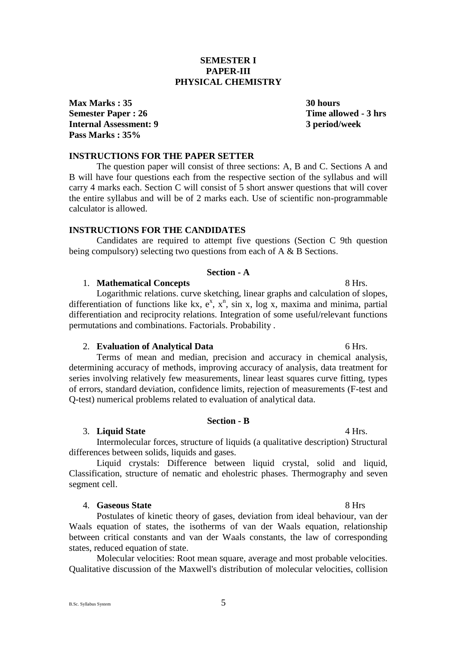## B.Sc. Syllabus System 5

## **SEMESTER I PAPER-III PHYSICAL CHEMISTRY**

**Max Marks : 35** 30 hours **Semester Paper : 26** Time allowed - 3 hrs **Internal Assessment: 9 3 period/week Pass Marks : 35%** 

**INSTRUCTIONS FOR THE PAPER SETTER**

The question paper will consist of three sections: A, B and C. Sections A and B will have four questions each from the respective section of the syllabus and will carry 4 marks each. Section C will consist of 5 short answer questions that will cover the entire syllabus and will be of 2 marks each. Use of scientific non-programmable calculator is allowed.

## **INSTRUCTIONS FOR THE CANDIDATES**

Candidates are required to attempt five questions (Section C 9th question being compulsory) selecting two questions from each of A & B Sections.

## **Section - A**

## 1. **Mathematical Concepts** 8 Hrs.

Logarithmic relations. curve sketching, linear graphs and calculation of slopes, differentiation of functions like kx,  $e^x$ ,  $x^n$ ,  $\sin x$ ,  $\log x$ , maxima and minima, partial differentiation and reciprocity relations. Integration of some useful/relevant functions permutations and combinations. Factorials. Probability .

#### 2. **Evaluation of Analytical Data** 6 Hrs. 6 Hrs.

Terms of mean and median, precision and accuracy in chemical analysis, determining accuracy of methods, improving accuracy of analysis, data treatment for series involving relatively few measurements, linear least squares curve fitting, types of errors, standard deviation, confidence limits, rejection of measurements (F-test and Q-test) numerical problems related to evaluation of analytical data.

## **Section - B**

#### 3. **Liquid State** 4 Hrs.

Intermolecular forces, structure of liquids (a qualitative description) Structural differences between solids, liquids and gases.

Liquid crystals: Difference between liquid crystal, solid and liquid, Classification, structure of nematic and eholestric phases. Thermography and seven segment cell.

### 4. **Gaseous State** 8 Hrs

Postulates of kinetic theory of gases, deviation from ideal behaviour, van der Waals equation of states, the isotherms of van der Waals equation, relationship between critical constants and van der Waals constants, the law of corresponding states, reduced equation of state.

Molecular velocities: Root mean square, average and most probable velocities. Qualitative discussion of the Maxwell's distribution of molecular velocities, collision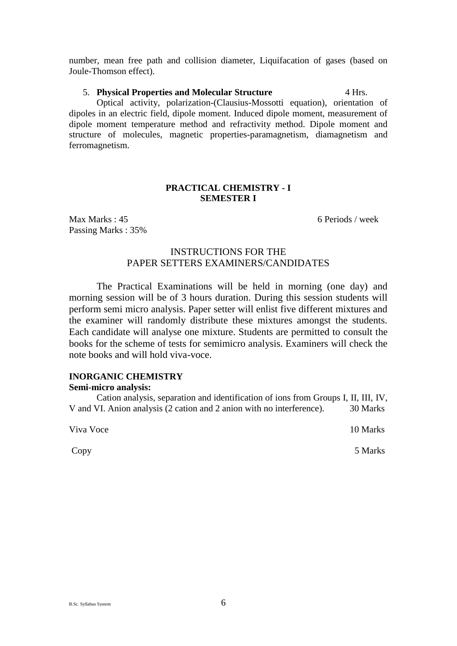number, mean free path and collision diameter, Liquifacation of gases (based on Joule-Thomson effect).

## 5. **Physical Properties and Molecular Structure** 4 Hrs.

Optical activity, polarization-(Clausius-Mossotti equation), orientation of dipoles in an electric field, dipole moment. Induced dipole moment, measurement of dipole moment temperature method and refractivity method. Dipole moment and structure of molecules, magnetic properties-paramagnetism, diamagnetism and ferromagnetism.

## **PRACTICAL CHEMISTRY - I SEMESTER I**

Max Marks : 45 6 Periods / week Passing Marks : 35%

## INSTRUCTIONS FOR THE PAPER SETTERS EXAMINERS/CANDIDATES

The Practical Examinations will be held in morning (one day) and morning session will be of 3 hours duration. During this session students will perform semi micro analysis. Paper setter will enlist five different mixtures and the examiner will randomly distribute these mixtures amongst the students. Each candidate will analyse one mixture. Students are permitted to consult the books for the scheme of tests for semimicro analysis. Examiners will check the note books and will hold viva-voce.

## **INORGANIC CHEMISTRY**

## **Semi-micro analysis:**

Cation analysis, separation and identification of ions from Groups I, II, III, IV, V and VI. Anion analysis (2 cation and 2 anion with no interference). 30 Marks

Viva Voce 10 Marks

Copy 5 Marks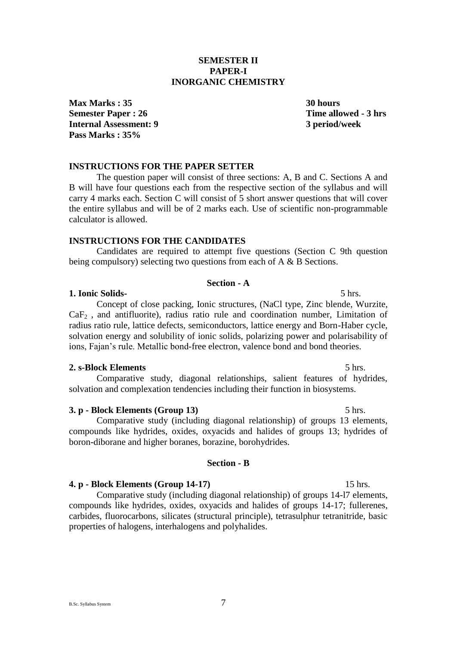## B.Sc. Syllabus System 7

**SEMESTER II PAPER-I INORGANIC CHEMISTRY**

**Max Marks : 35** 30 hours **Semester Paper : 26** Time allowed - 3 hrs **Internal Assessment: 9 3 period/week Pass Marks : 35%** 

## **INSTRUCTIONS FOR THE PAPER SETTER**

The question paper will consist of three sections: A, B and C. Sections A and B will have four questions each from the respective section of the syllabus and will carry 4 marks each. Section C will consist of 5 short answer questions that will cover the entire syllabus and will be of 2 marks each. Use of scientific non-programmable calculator is allowed.

## **INSTRUCTIONS FOR THE CANDIDATES**

Candidates are required to attempt five questions (Section C 9th question being compulsory) selecting two questions from each of A & B Sections.

## **Section - A**

### **1. Ionic Solids-** 5 hrs.

Concept of close packing, Ionic structures, (NaCl type, Zinc blende, Wurzite,  $CaF<sub>2</sub>$ , and antifluorite), radius ratio rule and coordination number, Limitation of radius ratio rule, lattice defects, semiconductors, lattice energy and Born-Haber cycle, solvation energy and solubility of ionic solids, polarizing power and polarisability of ions, Fajan's rule. Metallic bond-free electron, valence bond and bond theories.

## **2. s-Block Elements** 5 hrs.

Comparative study, diagonal relationships, salient features of hydrides, solvation and complexation tendencies including their function in biosystems.

## **3. p - Block Elements (Group 13)** 5 hrs.

Comparative study (including diagonal relationship) of groups 13 elements, compounds like hydrides, oxides, oxyacids and halides of groups 13; hydrides of boron-diborane and higher boranes, borazine, borohydrides.

#### **Section - B**

### **4. p - Block Elements (Group 14-17)** 15 hrs.

Comparative study (including diagonal relationship) of groups 14-l7 elements, compounds like hydrides, oxides, oxyacids and halides of groups 14-17; fullerenes, carbides, fluorocarbons, silicates (structural principle), tetrasulphur tetranitride, basic properties of halogens, interhalogens and polyhalides.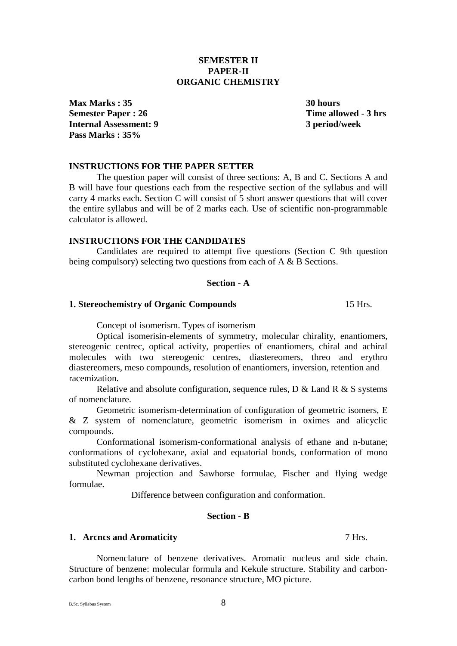of nomenclature. Geometric isomerism-determination of configuration of geometric isomers, E & Z system of nomenclature, geometric isomerism in oximes and alicyclic compounds.

Conformational isomerism-conformational analysis of ethane and n-butane; conformations of cyclohexane, axial and equatorial bonds, conformation of mono substituted cyclohexane derivatives.

Newman projection and Sawhorse formulae, Fischer and flying wedge formulae.

Difference between configuration and conformation.

## **Section - B**

## **1. Arcncs and Aromaticity** 7 Hrs.

Nomenclature of benzene derivatives. Aromatic nucleus and side chain. Structure of benzene: molecular formula and Kekule structure. Stability and carboncarbon bond lengths of benzene, resonance structure, MO picture.

**1. Stereochemistry of Organic Compounds** 15 Hrs. Concept of isomerism. Types of isomerism

stereogenic centrec, optical activity, properties of enantiomers, chiral and achiral molecules with two stereogenic centres, diastereomers, threo and erythro diastereomers, meso compounds, resolution of enantiomers, inversion, retention and

Optical isomerisin-elements of symmetry, molecular chirality, enantiomers,

Relative and absolute configuration, sequence rules,  $D \&$  Land R  $\&$  S systems

**Section - A**

Candidates are required to attempt five questions (Section C 9th question being compulsory) selecting two questions from each of A & B Sections.

B will have four questions each from the respective section of the syllabus and will carry 4 marks each. Section C will consist of 5 short answer questions that will cover the entire syllabus and will be of 2 marks each. Use of scientific non-programmable calculator is allowed.

## **INSTRUCTIONS FOR THE PAPER SETTER** The question paper will consist of three sections: A, B and C. Sections A and

**INSTRUCTIONS FOR THE CANDIDATES**

**Pass Marks : 35%** 

## **SEMESTER II PAPER-II ORGANIC CHEMISTRY**

**Max Marks : 35** 30 hours **Semester Paper : 26** Time allowed - 3 hrs **Internal Assessment: 9 3 period/week**

B.Sc. Syllabus System 8

racemization.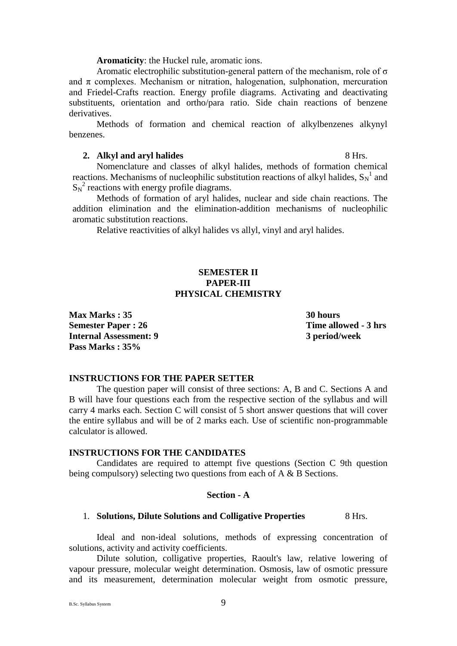**Aromaticity**: the Huckel rule, aromatic ions.

Aromatic electrophilic substitution-general pattern of the mechanism, role of σ and  $\pi$  complexes. Mechanism or nitration, halogenation, sulphonation, mercuration and Friedel-Crafts reaction. Energy profile diagrams. Activating and deactivating substituents, orientation and ortho/para ratio. Side chain reactions of benzene derivatives.

Methods of formation and chemical reaction of alkylbenzenes alkynyl benzenes.

## **2. Alkyl and aryl halides** 8 Hrs.

Nomenclature and classes of alkyl halides, methods of formation chemical reactions. Mechanisms of nucleophilic substitution reactions of alkyl halides,  $S_N^{-1}$  and  $S_N^2$  reactions with energy profile diagrams.

Methods of formation of aryl halides, nuclear and side chain reactions. The addition elimination and the elimination-addition mechanisms of nucleophilic aromatic substitution reactions.

Relative reactivities of alkyl halides vs allyl, vinyl and aryl halides.

## **SEMESTER II PAPER-III PHYSICAL CHEMISTRY**

**Max Marks : 35** 30 hours **Semester Paper : 26** Time allowed - 3 hrs **Internal Assessment: 9 3 period/week Pass Marks : 35%** 

## **INSTRUCTIONS FOR THE PAPER SETTER**

The question paper will consist of three sections: A, B and C. Sections A and B will have four questions each from the respective section of the syllabus and will carry 4 marks each. Section C will consist of 5 short answer questions that will cover the entire syllabus and will be of 2 marks each. Use of scientific non-programmable calculator is allowed.

## **INSTRUCTIONS FOR THE CANDIDATES**

Candidates are required to attempt five questions (Section C 9th question being compulsory) selecting two questions from each of A & B Sections.

## **Section - A**

## 1. **Solutions, Dilute Solutions and Colligative Properties** 8 Hrs.

Ideal and non-ideal solutions, methods of expressing concentration of solutions, activity and activity coefficients.

Dilute solution, colligative properties, Raoult's law, relative lowering of vapour pressure, molecular weight determination. Osmosis, law of osmotic pressure and its measurement, determination molecular weight from osmotic pressure,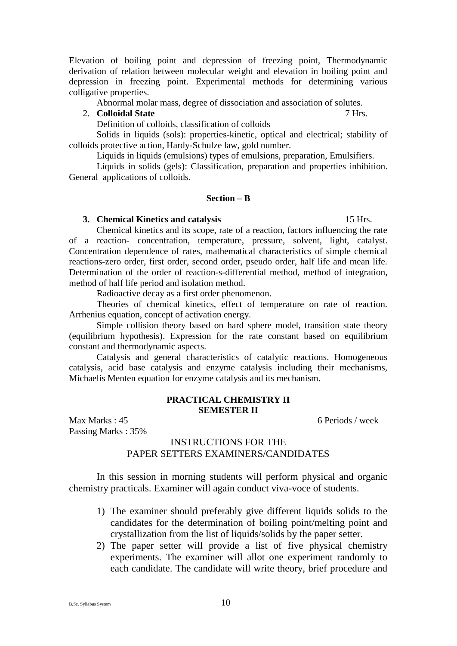Elevation of boiling point and depression of freezing point, Thermodynamic derivation of relation between molecular weight and elevation in boiling point and depression in freezing point. Experimental methods for determining various colligative properties.

Abnormal molar mass, degree of dissociation and association of solutes.

## 2. **Colloidal State** 7 Hrs.

Definition of colloids, classification of colloids

Solids in liquids (sols): properties-kinetic, optical and electrical; stability of colloids protective action, Hardy-Schulze law, gold number.

Liquids in liquids (emulsions) types of emulsions, preparation, Emulsifiers.

Liquids in solids (gels): Classification, preparation and properties inhibition. General applications of colloids.

## **Section – B**

### **3. Chemical Kinetics and catalysis** 15 Hrs.

Chemical kinetics and its scope, rate of a reaction, factors influencing the rate of a reaction- concentration, temperature, pressure, solvent, light, catalyst. Concentration dependence of rates, mathematical characteristics of simple chemical reactions-zero order, first order, second order, pseudo order, half life and mean life. Determination of the order of reaction-s-differential method, method of integration, method of half life period and isolation method.

Radioactive decay as a first order phenomenon.

Theories of chemical kinetics, effect of temperature on rate of reaction. Arrhenius equation, concept of activation energy.

Simple collision theory based on hard sphere model, transition state theory (equilibrium hypothesis). Expression for the rate constant based on equilibrium constant and thermodynamic aspects.

Catalysis and general characteristics of catalytic reactions. Homogeneous catalysis, acid base catalysis and enzyme catalysis including their mechanisms, Michaelis Menten equation for enzyme catalysis and its mechanism.

## **PRACTICAL CHEMISTRY II SEMESTER II**

Max Marks : 45 6 Periods / week Passing Marks : 35%

## INSTRUCTIONS FOR THE PAPER SETTERS EXAMINERS/CANDIDATES

In this session in morning students will perform physical and organic chemistry practicals. Examiner will again conduct viva-voce of students.

- 1) The examiner should preferably give different liquids solids to the candidates for the determination of boiling point/melting point and crystallization from the list of liquids/solids by the paper setter.
- 2) The paper setter will provide a list of five physical chemistry experiments. The examiner will allot one experiment randomly to each candidate. The candidate will write theory, brief procedure and

B.Sc. Syllabus System 10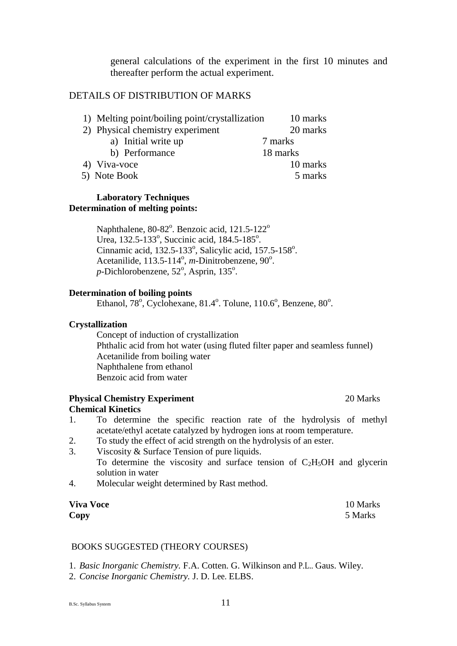general calculations of the experiment in the first 10 minutes and thereafter perform the actual experiment.

## DETAILS OF DISTRIBUTION OF MARKS

| 1) Melting point/boiling point/crystallization | 10 marks |
|------------------------------------------------|----------|
| 2) Physical chemistry experiment               | 20 marks |
| a) Initial write up                            | 7 marks  |
| b) Performance                                 | 18 marks |
| 4) Viva-voce                                   | 10 marks |
| 5) Note Book                                   | 5 marks  |

## **Laboratory Techniques Determination of melting points:**

Naphthalene,  $80-82^\circ$ . Benzoic acid,  $121.5-122^\circ$ Urea, 132.5-133°, Succinic acid, 184.5-185°. Cinnamic acid, 132.5-133°, Salicylic acid, 157.5-158°. Acetanilide, 113.5-114<sup>°</sup>, *m*-Dinitrobenzene, 90<sup>°</sup>. p-Dichlorobenzene, 52°, Asprin, 135°.

## **Determination of boiling points**

Ethanol, 78°, Cyclohexane, 81.4°. Tolune, 110.6°, Benzene, 80°.

## **Crystallization**

Concept of induction of crystallization Phthalic acid from hot water (using fluted filter paper and seamless funnel) Acetanilide from boiling water Naphthalene from ethanol Benzoic acid from water

## **Physical Chemistry Experiment** 20 Marks **Chemical Kinetics**

- 1. To determine the specific reaction rate of the hydrolysis of methyl acetate/ethyl acetate catalyzed by hydrogen ions at room temperature.
- 2. To study the effect of acid strength on the hydrolysis of an ester.
- 3. Viscosity & Surface Tension of pure liquids. To determine the viscosity and surface tension of  $C_2H_5OH$  and glycerin solution in water
- 4. Molecular weight determined by Rast method.

| <b>Viva Voce</b> | 10 Marks |
|------------------|----------|
| Copy             | 5 Marks  |

## BOOKS SUGGESTED (THEORY COURSES)

1. *Basic Inorganic Chemistry.* F.A. Cotten. G. Wilkinson and P.L.. Gaus. Wiley.

2. *Concise Inorganic Chemistry.* J. D. Lee. ELBS.